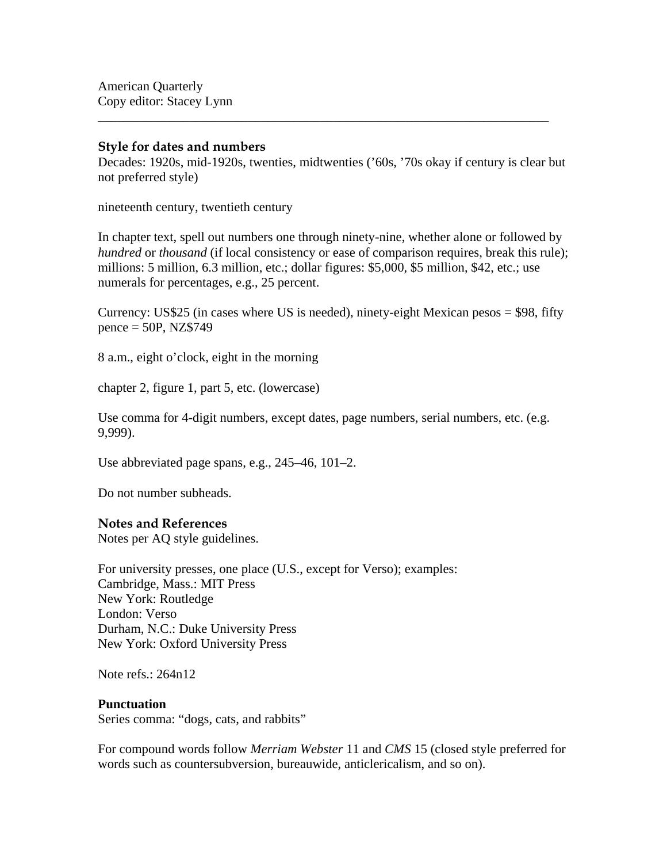#### **Style for dates and numbers**

Decades: 1920s, mid-1920s, twenties, midtwenties ('60s, '70s okay if century is clear but not preferred style)

\_\_\_\_\_\_\_\_\_\_\_\_\_\_\_\_\_\_\_\_\_\_\_\_\_\_\_\_\_\_\_\_\_\_\_\_\_\_\_\_\_\_\_\_\_\_\_\_\_\_\_\_\_\_\_\_\_\_\_\_\_\_\_\_\_\_\_\_\_

nineteenth century, twentieth century

In chapter text, spell out numbers one through ninety-nine, whether alone or followed by *hundred* or *thousand* (if local consistency or ease of comparison requires, break this rule); millions: 5 million, 6.3 million, etc.; dollar figures: \$5,000, \$5 million, \$42, etc.; use numerals for percentages, e.g., 25 percent.

Currency: US\$25 (in cases where US is needed), ninety-eight Mexican pesos  $= $98$ , fifty  $pence = 50P, NZ$749$ 

8 a.m., eight o'clock, eight in the morning

chapter 2, figure 1, part 5, etc. (lowercase)

Use comma for 4-digit numbers, except dates, page numbers, serial numbers, etc. (e.g. 9,999).

Use abbreviated page spans, e.g., 245–46, 101–2.

Do not number subheads.

# **Notes and References**

Notes per AQ style guidelines.

For university presses, one place (U.S., except for Verso); examples: Cambridge, Mass.: MIT Press New York: Routledge London: Verso Durham, N.C.: Duke University Press New York: Oxford University Press

Note refs  $\cdot$  264n12

# **Punctuation**

Series comma: "dogs, cats, and rabbits"

For compound words follow *Merriam Webster* 11 and *CMS* 15 (closed style preferred for words such as countersubversion, bureauwide, anticlericalism, and so on).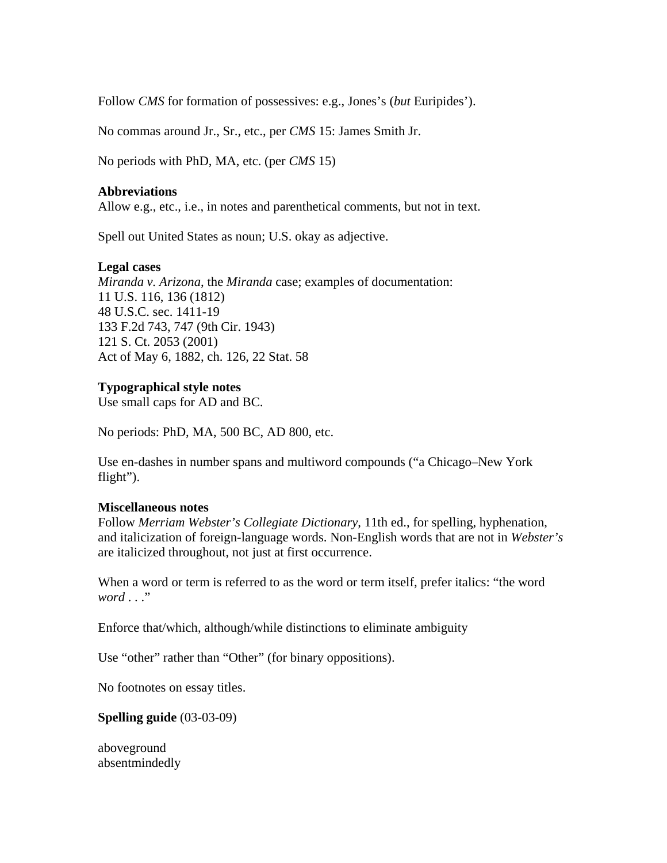Follow *CMS* for formation of possessives: e.g., Jones's (*but* Euripides').

No commas around Jr., Sr., etc., per *CMS* 15: James Smith Jr.

No periods with PhD, MA, etc. (per *CMS* 15)

#### **Abbreviations**

Allow e.g., etc., i.e., in notes and parenthetical comments, but not in text.

Spell out United States as noun; U.S. okay as adjective.

# **Legal cases**

*Miranda v. Arizona*, the *Miranda* case; examples of documentation: 11 U.S. 116, 136 (1812) 48 U.S.C. sec. 1411-19 133 F.2d 743, 747 (9th Cir. 1943) 121 S. Ct. 2053 (2001) Act of May 6, 1882, ch. 126, 22 Stat. 58

# **Typographical style notes**

Use small caps for AD and BC.

No periods: PhD, MA, 500 BC, AD 800, etc.

Use en-dashes in number spans and multiword compounds ("a Chicago–New York flight").

#### **Miscellaneous notes**

Follow *Merriam Webster's Collegiate Dictionary*, 11th ed., for spelling, hyphenation, and italicization of foreign-language words. Non-English words that are not in *Webster's* are italicized throughout, not just at first occurrence.

When a word or term is referred to as the word or term itself, prefer italics: "the word *word* . . ."

Enforce that/which, although/while distinctions to eliminate ambiguity

Use "other" rather than "Other" (for binary oppositions).

No footnotes on essay titles.

# **Spelling guide** (03-03-09)

aboveground absentmindedly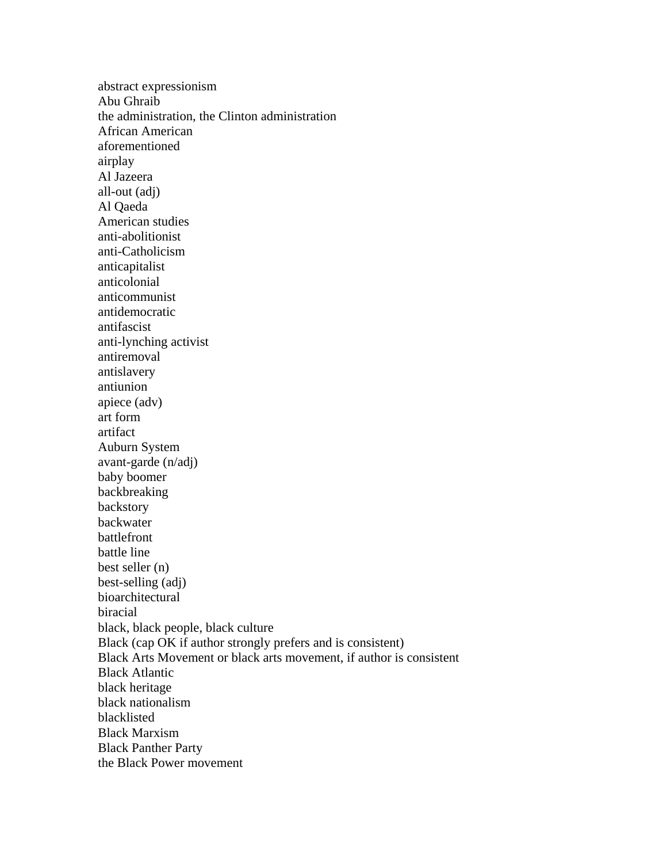abstract expressionism Abu Ghraib the administration, the Clinton administration African American aforementioned airplay Al Jazeera all-out (adj) Al Qaeda American studies anti-abolitionist anti-Catholicism anticapitalist anticolonial anticommunist antidemocratic antifascist anti-lynching activist antiremoval antislavery antiunion apiece (adv) art form artifact Auburn System avant-garde (n/adj) baby boomer backbreaking backstory backwater battlefront battle line best seller (n) best-selling (adj) bioarchitectural biracial black, black people, black culture Black (cap OK if author strongly prefers and is consistent) Black Arts Movement or black arts movement, if author is consistent Black Atlantic black heritage black nationalism blacklisted Black Marxism Black Panther Party the Black Power movement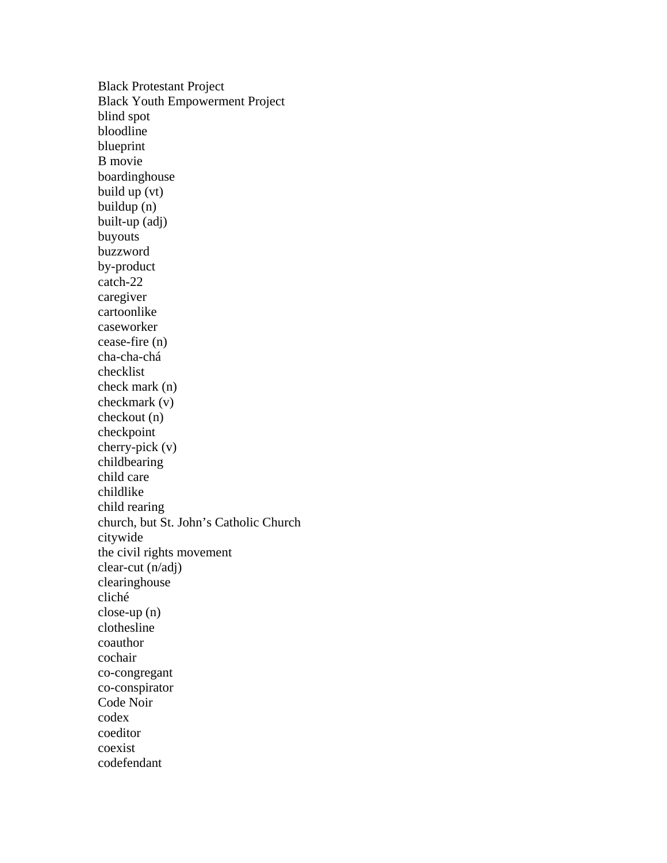Black Protestant Project Black Youth Empowerment Project blind spot bloodline blueprint B movie boardinghouse build up (vt) buildup (n) built-up (adj) buyouts buzzword by-product catch-22 caregiver cartoonlike caseworker cease-fire (n) cha-cha-chá checklist check mark (n) checkmark (v) checkout (n) checkpoint cherry-pick (v) childbearing child care childlike child rearing church, but St. John's Catholic Church citywide the civil rights movement clear-cut (n/adj) clearinghouse cliché close-up (n) clothesline coauthor cochair co-congregant co-conspirator Code Noir codex coeditor coexist codefendant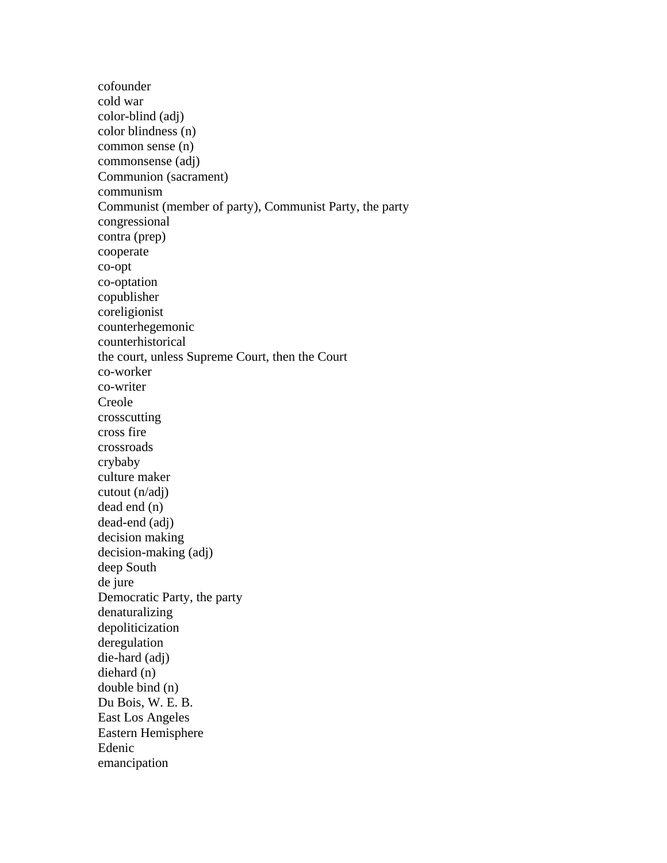cofounder cold war color-blind (adj) color blindness (n) common sense (n) commonsense (adj) Communion (sacrament) communism Communist (member of party), Communist Party, the party congressional contra (prep) cooperate co-opt co-optation copublisher coreligionist counterhegemonic counterhistorical the court, unless Supreme Court, then the Court co-worker co-writer Creole crosscutting cross fire crossroads crybaby culture maker cutout (n/adj) dead end (n) dead-end (adj) decision making decision-making (adj) deep South de jure Democratic Party, the party denaturalizing depoliticization deregulation die-hard (adj) diehard (n) double bind (n) Du Bois, W. E. B. East Los Angeles Eastern Hemisphere Edenic emancipation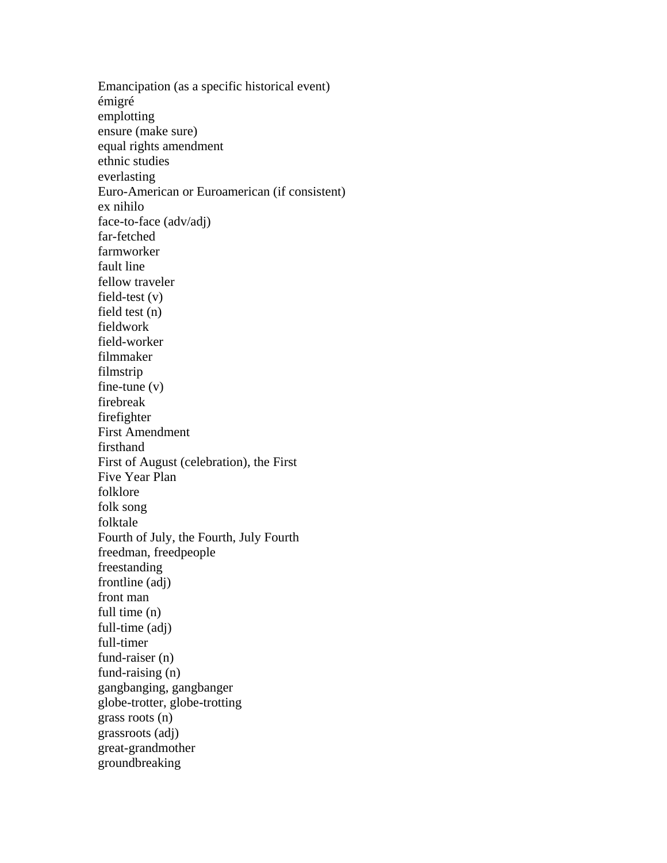Emancipation (as a specific historical event) émigré emplotting ensure (make sure) equal rights amendment ethnic studies everlasting Euro-American or Euroamerican (if consistent) ex nihilo face-to-face (adv/adj) far-fetched farmworker fault line fellow traveler field-test (v) field test (n) fieldwork field-worker filmmaker filmstrip fine-tune (v) firebreak firefighter First Amendment firsthand First of August (celebration), the First Five Year Plan folklore folk song folktale Fourth of July, the Fourth, July Fourth freedman, freedpeople freestanding frontline (adj) front man full time (n) full-time (adj) full-timer fund-raiser (n) fund-raising (n) gangbanging, gangbanger globe-trotter, globe-trotting grass roots (n) grassroots (adj) great-grandmother groundbreaking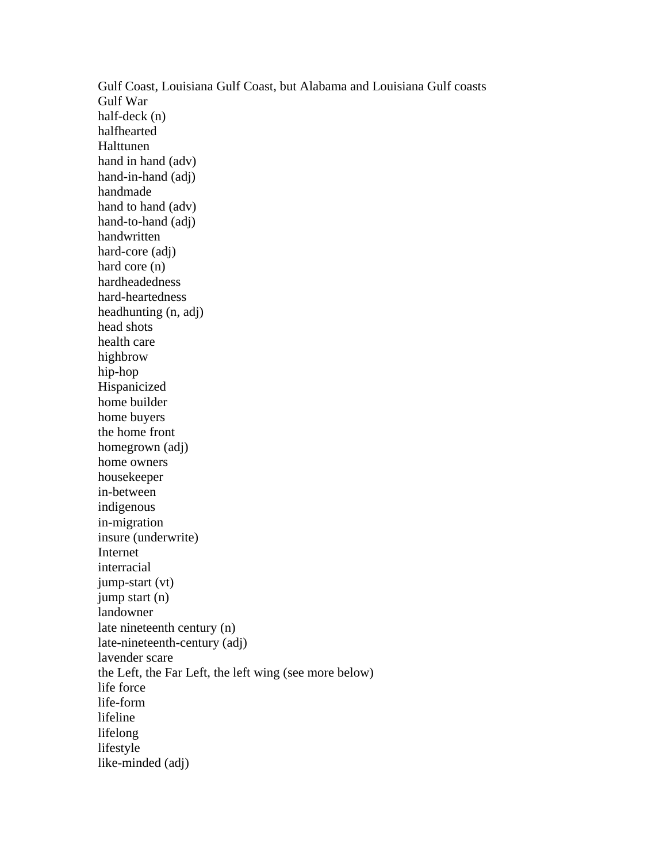Gulf Coast, Louisiana Gulf Coast, but Alabama and Louisiana Gulf coasts Gulf War half-deck (n) halfhearted Halttunen hand in hand (adv) hand-in-hand (adj) handmade hand to hand (adv) hand-to-hand (adj) handwritten hard-core (adj) hard core (n) hardheadedness hard-heartedness headhunting (n, adj) head shots health care highbrow hip-hop Hispanicized home builder home buyers the home front homegrown (adj) home owners housekeeper in-between indigenous in-migration insure (underwrite) Internet interracial jump-start (vt) jump start (n) landowner late nineteenth century (n) late-nineteenth-century (adj) lavender scare the Left, the Far Left, the left wing (see more below) life force life-form lifeline lifelong lifestyle like-minded (adj)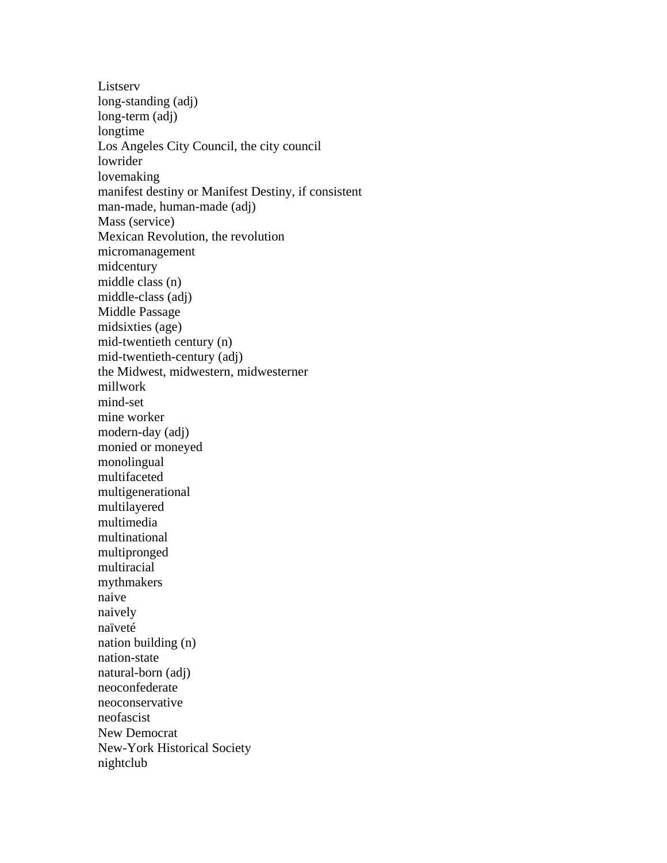Listserv long-standing (adj) long-term (adj) longtime Los Angeles City Council, the city council lowrider lovemaking manifest destiny or Manifest Destiny, if consistent man-made, human-made (adj) Mass (service) Mexican Revolution, the revolution micromanagement midcentury middle class (n) middle-class (adj) Middle Passage midsixties (age) mid-twentieth century (n) mid-twentieth-century (adj) the Midwest, midwestern, midwesterner millwork mind-set mine worker modern-day (adj) monied or moneyed monolingual multifaceted multigenerational multilayered multimedia multinational multipronged multiracial mythmakers naive naively naïveté nation building (n) nation-state natural-born (adj) neoconfederate neoconservative neofascist New Democrat New-York Historical Society nightclub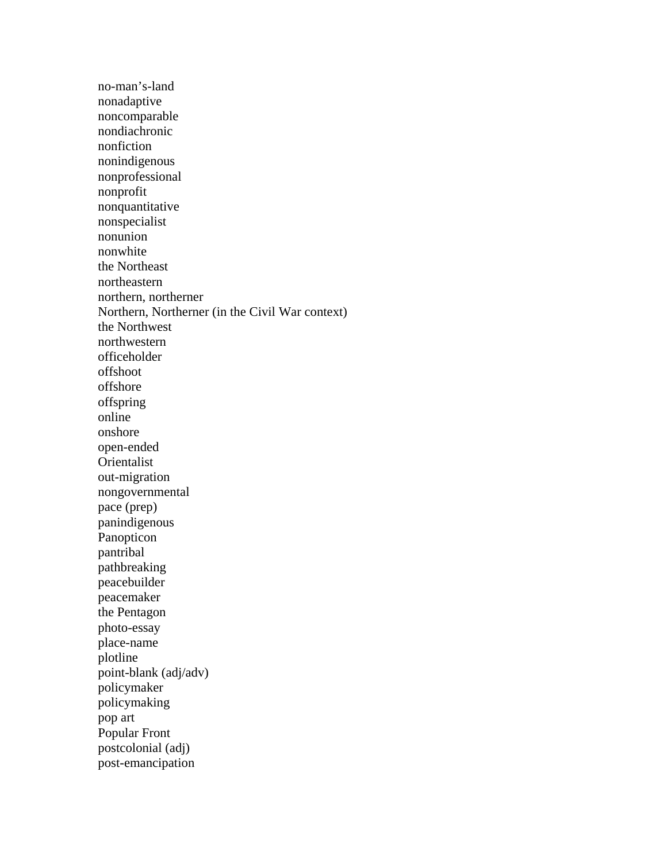no-man's-land nonadaptive noncomparable nondiachronic nonfiction nonindigenous nonprofessional nonprofit nonquantitative nonspecialist nonunion nonwhite the Northeast northeastern northern, northerner Northern, Northerner (in the Civil War context) the Northwest northwestern officeholder offshoot offshore offspring online onshore open-ended Orientalist out-migration nongovernmental pace (prep) panindigenous Panopticon pantribal pathbreaking peacebuilder peacemaker the Pentagon photo-essay place-name plotline point-blank (adj/adv) policymaker policymaking pop art Popular Front postcolonial (adj) post-emancipation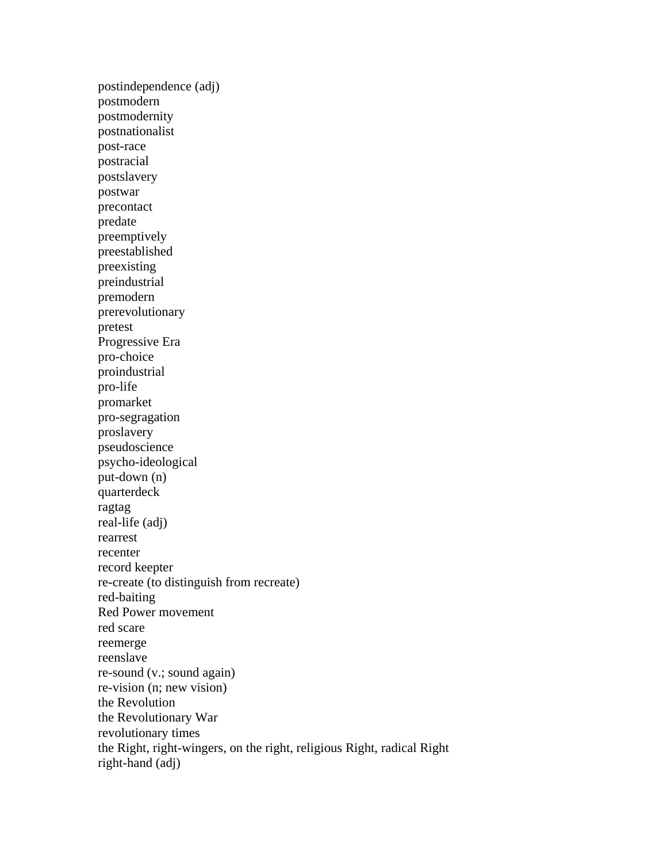postindependence (adj) postmodern postmodernity postnationalist post-race postracial postslavery postwar precontact predate preemptively preestablished preexisting preindustrial premodern prerevolutionary pretest Progressive Era pro-choice proindustrial pro-life promarket pro-segragation proslavery pseudoscience psycho-ideological put-down (n) quarterdeck ragtag real-life (adj) rearrest recenter record keepter re-create (to distinguish from recreate) red-baiting Red Power movement red scare reemerge reenslave re-sound (v.; sound again) re-vision (n; new vision) the Revolution the Revolutionary War revolutionary times the Right, right-wingers, on the right, religious Right, radical Right right-hand (adj)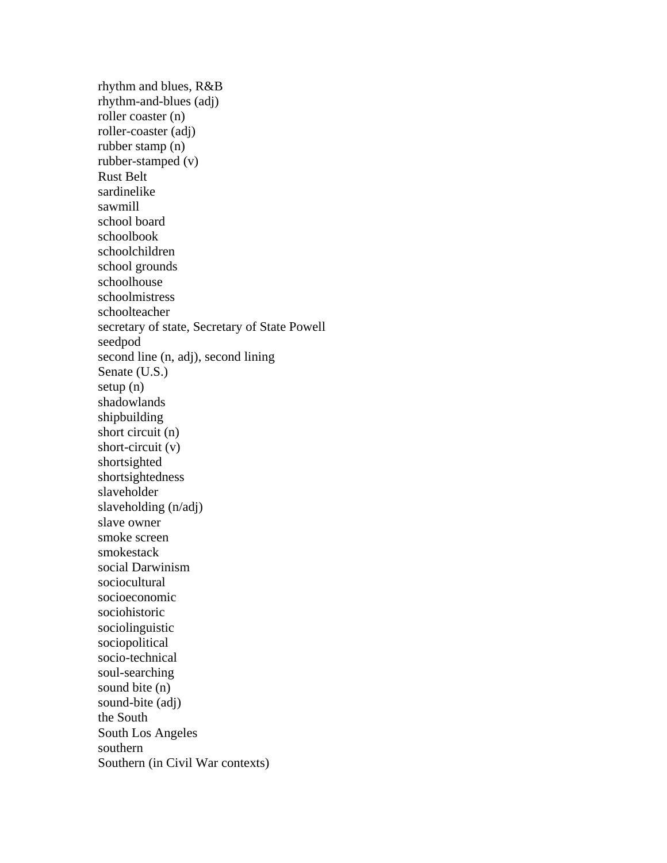rhythm and blues, R&B rhythm-and-blues (adj) roller coaster (n) roller-coaster (adj) rubber stamp (n) rubber-stamped (v) Rust Belt sardinelike sawmill school board schoolbook schoolchildren school grounds schoolhouse schoolmistress schoolteacher secretary of state, Secretary of State Powell seedpod second line (n, adj), second lining Senate (U.S.) setup (n) shadowlands shipbuilding short circuit (n) short-circuit (v) shortsighted shortsightedness slaveholder slaveholding (n/adj) slave owner smoke screen smokestack social Darwinism sociocultural socioeconomic sociohistoric sociolinguistic sociopolitical socio-technical soul-searching sound bite (n) sound-bite (adj) the South South Los Angeles southern Southern (in Civil War contexts)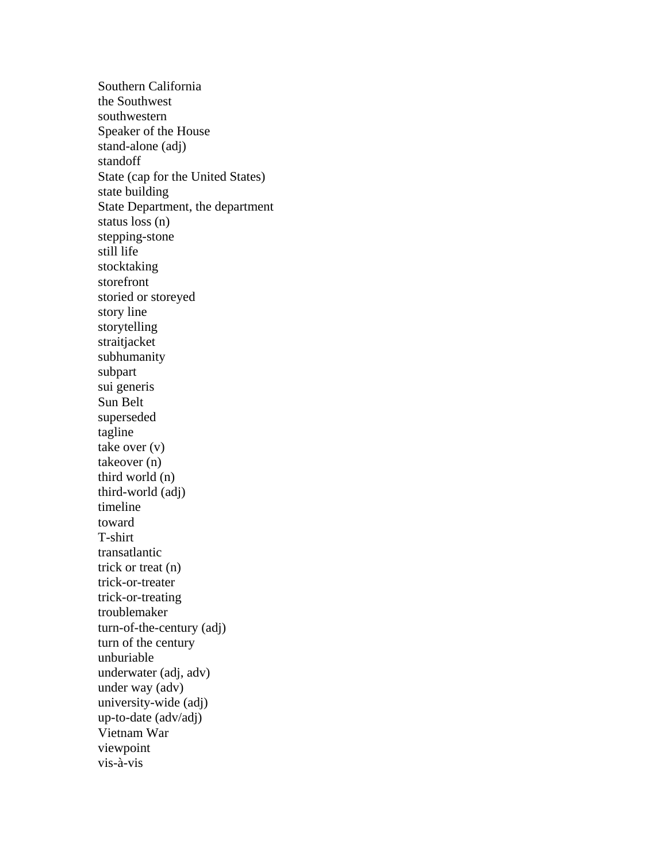Southern California the Southwest southwestern Speaker of the House stand-alone (adj) standoff State (cap for the United States) state building State Department, the department status loss (n) stepping-stone still life stocktaking storefront storied or storeyed story line storytelling straitjacket subhumanity subpart sui generis Sun Belt superseded tagline take over (v) takeover (n) third world (n) third-world (adj) timeline toward T-shirt transatlantic trick or treat (n) trick-or-treater trick-or-treating troublemaker turn-of-the-century (adj) turn of the century unburiable underwater (adj, adv) under way (adv) university-wide (adj) up-to-date (adv/adj) Vietnam War viewpoint vis-à-vis